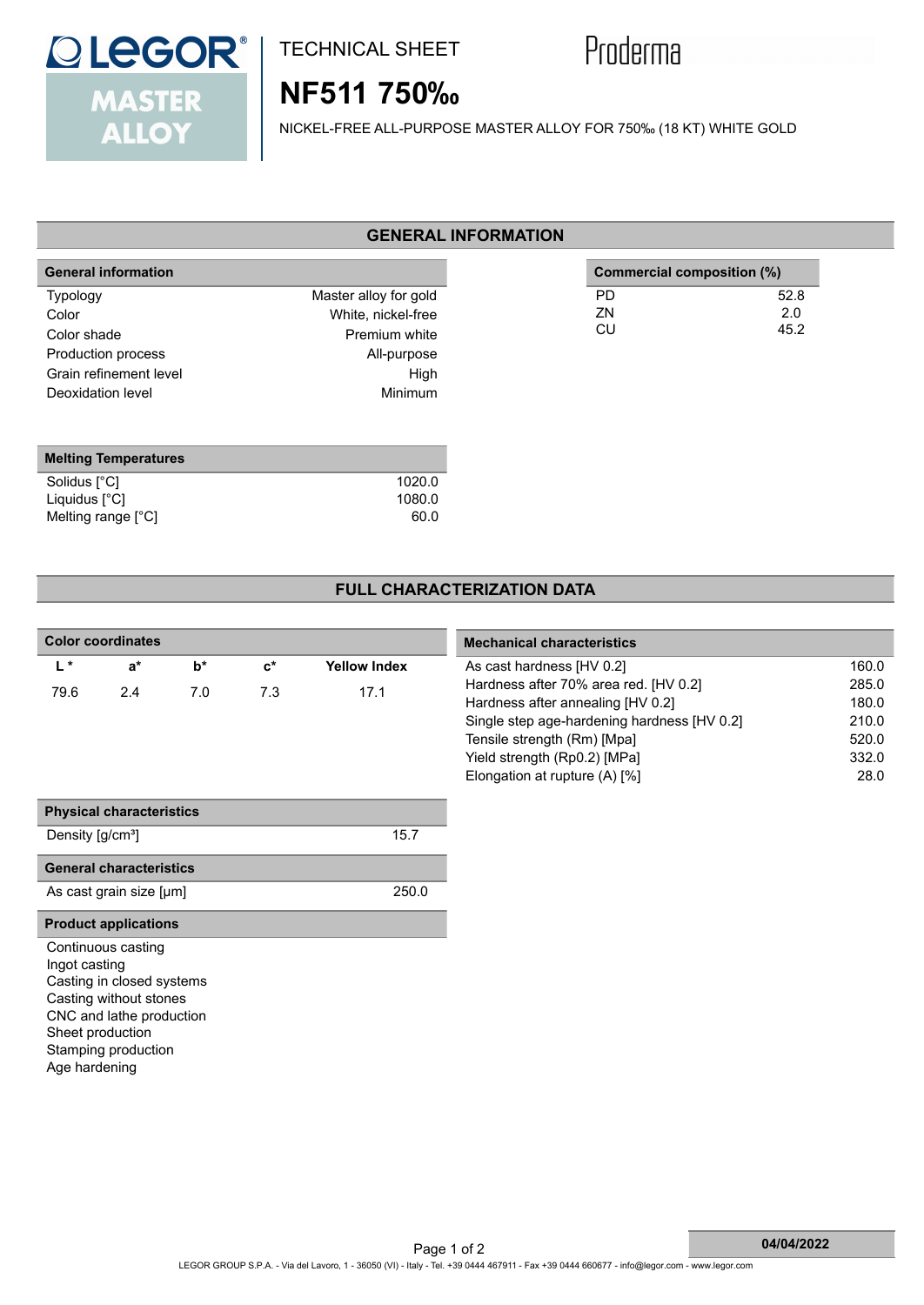

### TECHNICAL SHEET

# Proderma

## **NF511 750‰**

NICKEL-FREE ALL-PURPOSE MASTER ALLOY FOR 750‰ (18 KT) WHITE GOLD

#### **GENERAL INFORMATION**

| <b>General information</b>                                                                                   |                                                                                                       |                | Commercial composition (%) |
|--------------------------------------------------------------------------------------------------------------|-------------------------------------------------------------------------------------------------------|----------------|----------------------------|
| <b>Typology</b><br>Color<br>Color shade<br>Production process<br>Grain refinement level<br>Deoxidation level | Master alloy for gold<br>White, nickel-free<br>Premium white<br>All-purpose<br>High<br><b>Minimum</b> | PD<br>ΖN<br>CU | 52.8<br>2.0<br>45.2        |

| 1020.0 |
|--------|
| 1080.0 |
| 60.0   |
|        |

#### **FULL CHARACTERIZATION DATA**

| <b>Color coordinates</b>     |                                 |       |                |                     | <b>Mechanical characteristics</b>           |       |  |
|------------------------------|---------------------------------|-------|----------------|---------------------|---------------------------------------------|-------|--|
| $L^*$                        | $a^*$                           | $b^*$ | $\mathbf{c}^*$ | <b>Yellow Index</b> | As cast hardness [HV 0.2]                   | 160.0 |  |
| 79.6                         | 2.4                             | 7.0   | 7.3            | 17.1                | Hardness after 70% area red. [HV 0.2]       | 285.0 |  |
|                              |                                 |       |                |                     | Hardness after annealing [HV 0.2]           | 180.0 |  |
|                              |                                 |       |                |                     | Single step age-hardening hardness [HV 0.2] | 210.0 |  |
|                              |                                 |       |                |                     | Tensile strength (Rm) [Mpa]                 | 520.0 |  |
|                              |                                 |       |                |                     | Yield strength (Rp0.2) [MPa]                | 332.0 |  |
|                              |                                 |       |                |                     | Elongation at rupture (A) [%]               | 28.0  |  |
|                              | <b>Physical characteristics</b> |       |                |                     |                                             |       |  |
| Density [g/cm <sup>3</sup> ] |                                 |       |                | 15.7                |                                             |       |  |
|                              | <b>General characteristics</b>  |       |                |                     |                                             |       |  |
|                              | As cast grain size [µm]         |       |                | 250.0               |                                             |       |  |
|                              | <b>Product applications</b>     |       |                |                     |                                             |       |  |
|                              | Continuous casting              |       |                |                     |                                             |       |  |
| Ingot casting                |                                 |       |                |                     |                                             |       |  |
|                              | Casting in closed systems       |       |                |                     |                                             |       |  |
|                              | Casting without stones          |       |                |                     |                                             |       |  |
|                              | CNC and lathe production        |       |                |                     |                                             |       |  |
|                              | Sheet production                |       |                |                     |                                             |       |  |
|                              | Stamping production             |       |                |                     |                                             |       |  |
| Age hardening                |                                 |       |                |                     |                                             |       |  |